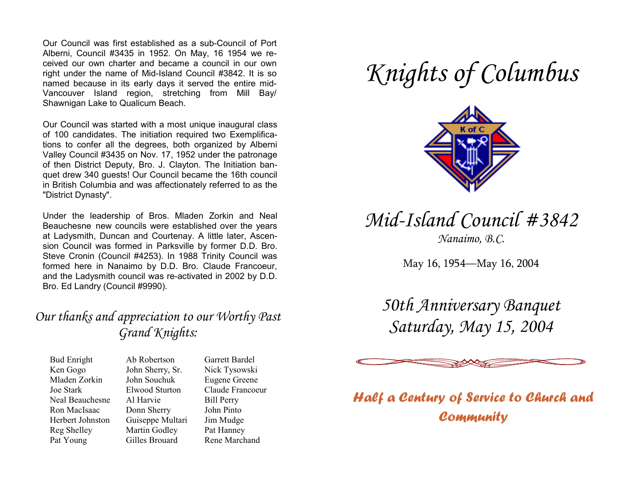Our Council was first established as a sub-Council of Port Alberni, Council #3435 in 1952. On May, 16 1954 we received our own charter and became a council in our own right under the name of Mid-Island Council #3842. It is so named because in its early days it served the entire mid-Vancouver Island region, stretching from Mill Bay/ Shawnigan Lake to Qualicum Beach.

Our Council was started with a most unique inaugural class of 100 candidates. The initiation required two Exemplifications to confer all the degrees, both organized by Alberni Valley Council #3435 on Nov. 17, 1952 under the patronage of then District Deputy, Bro. J. Clayton. The Initiation banquet drew 340 guests! Our Council became the 16th council in British Columbia and was affectionately referred to as the "District Dynasty".

Under the leadership of Bros. Mladen Zorkin and Neal Beauchesne new councils were established over the years at Ladysmith, Duncan and Courtenay. A little later, Ascension Council was formed in Parksville by former D.D. Bro. Steve Cronin (Council #4253). In 1988 Trinity Council was formed here in Nanaimo by D.D. Bro. Claude Francoeur, and the Ladysmith council was re-activated in 2002 by D.D. Bro. Ed Landry (Council #9990).

#### *Our thanks and appreciation to our Worthy Past Grand Knights:*

Bud Enright Ken Gogo Mladen Zorkin Joe Stark Neal Beauchesne Ron MacIsaac Herbert Johnston Reg Shelley Pat Young

Ab Robertson John Sherry, Sr. John Souchuk Elwood Sturton Al Harvie Donn Sherry Guiseppe Multari Martin Godley Gilles Brouard

Garrett Bardel Nick Tysowski Eugene Greene Claude Francoeur Bill Perry John Pinto Jim Mudge Pat Hanney Rene Marchand

# *Knights of Columbus*



## *Mid-Island Council #3842*

*Nanaimo, B.C.* 

May 16, 1954—May 16, 2004

*50th Anniversary Banquet Saturday, May 15, 2004* 



*Half a Century of Service to Church and Community*